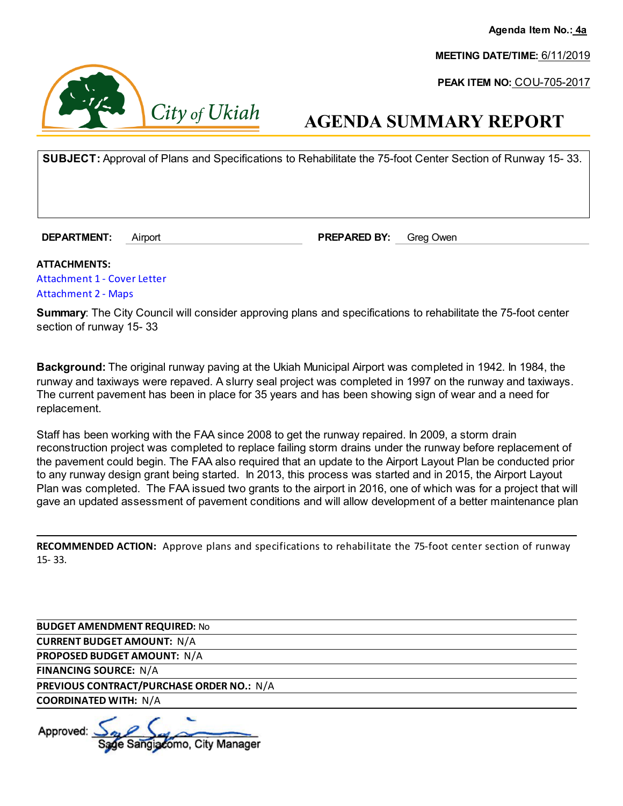**Agenda Item No.: 4a**

**MEETING DATE/TIME:** 6/11/2019

**PEAK ITEM NO:** COU-705-2017



## **AGENDA SUMMARY REPORT**

**SUBJECT:** Approval of Plans and Specifications to Rehabilitate the 75-foot Center Section of Runway 15- 33.

**DEPARTMENT:** Airport **PREPARED BY:** Greg Owen

**ATTACHMENTS:**  [Attachment 1 - Cover Letter](https://legistarweb-production.s3.amazonaws.com/uploads/attachment/pdf/376036/Attachment_1_-_Cover_Letter.pdf) [Attachment 2 - Maps](https://legistarweb-production.s3.amazonaws.com/uploads/attachment/pdf/376037/Attachment_2_-_Maps.pdf)

**Summary**: The City Council will consider approving plans and specifications to rehabilitate the 75-foot center section of runway 15- 33

**Background:** The original runway paving at the Ukiah Municipal Airport was completed in 1942. In 1984, the runway and taxiways were repaved. A slurry seal project was completed in 1997 on the runway and taxiways. The current pavement has been in place for 35 years and has been showing sign of wear and a need for replacement.

Staff has been working with the FAA since 2008 to get the runway repaired. In 2009, a storm drain reconstruction project was completed to replace failing storm drains under the runway before replacement of the pavement could begin. The FAA also required that an update to the Airport Layout Plan be conducted prior to any runway design grant being started. In 2013, this process was started and in 2015, the Airport Layout Plan was completed. The FAA issued two grants to the airport in 2016, one of which was for a project that will gave an updated assessment of pavement conditions and will allow development of a better maintenance plan

**RECOMMENDED ACTION:** Approve plans and specifications to rehabilitate the 75-foot center section of runway 15- 33.

**BUDGET AMENDMENT REQUIRED:** No

**CURRENT BUDGET AMOUNT:** N/A

**PROPOSED BUDGET AMOUNT:** N/A

**FINANCING SOURCE:** N/A

**PREVIOUS CONTRACT/PURCHASE ORDER NO.:** N/A

**COORDINATED WITH:** N/A

Approved: Sangiacomo, City Manager